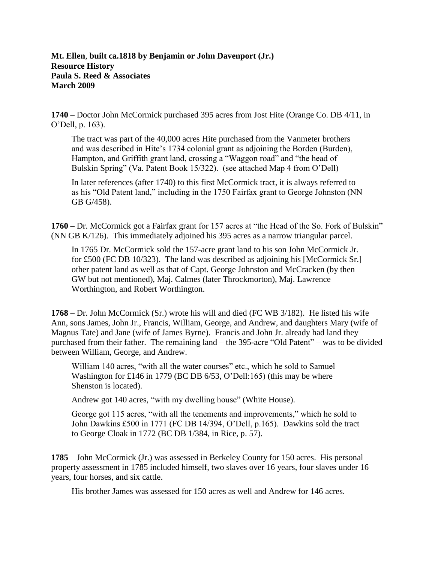## **Mt. Ellen**, **built ca.1818 by Benjamin or John Davenport (Jr.) Resource History Paula S. Reed & Associates March 2009**

**1740** – Doctor John McCormick purchased 395 acres from Jost Hite (Orange Co. DB 4/11, in O'Dell, p. 163).

The tract was part of the 40,000 acres Hite purchased from the Vanmeter brothers and was described in Hite's 1734 colonial grant as adjoining the Borden (Burden), Hampton, and Griffith grant land, crossing a "Waggon road" and "the head of Bulskin Spring" (Va. Patent Book 15/322). (see attached Map 4 from O'Dell)

In later references (after 1740) to this first McCormick tract, it is always referred to as his "Old Patent land," including in the 1750 Fairfax grant to George Johnston (NN GB G/458).

**1760** – Dr. McCormick got a Fairfax grant for 157 acres at "the Head of the So. Fork of Bulskin" (NN GB K/126). This immediately adjoined his 395 acres as a narrow triangular parcel.

In 1765 Dr. McCormick sold the 157-acre grant land to his son John McCormick Jr. for £500 (FC DB 10/323). The land was described as adjoining his [McCormick Sr.] other patent land as well as that of Capt. George Johnston and McCracken (by then GW but not mentioned), Maj. Calmes (later Throckmorton), Maj. Lawrence Worthington, and Robert Worthington.

**1768** – Dr. John McCormick (Sr.) wrote his will and died (FC WB 3/182). He listed his wife Ann, sons James, John Jr., Francis, William, George, and Andrew, and daughters Mary (wife of Magnus Tate) and Jane (wife of James Byrne). Francis and John Jr. already had land they purchased from their father. The remaining land – the 395-acre "Old Patent" – was to be divided between William, George, and Andrew.

William 140 acres, "with all the water courses" etc., which he sold to Samuel Washington for £146 in 1779 (BC DB 6/53, O'Dell:165) (this may be where Shenston is located).

Andrew got 140 acres, "with my dwelling house" (White House).

George got 115 acres, "with all the tenements and improvements," which he sold to John Dawkins £500 in 1771 (FC DB 14/394, O'Dell, p.165). Dawkins sold the tract to George Cloak in 1772 (BC DB 1/384, in Rice, p. 57).

**1785** – John McCormick (Jr.) was assessed in Berkeley County for 150 acres. His personal property assessment in 1785 included himself, two slaves over 16 years, four slaves under 16 years, four horses, and six cattle.

His brother James was assessed for 150 acres as well and Andrew for 146 acres.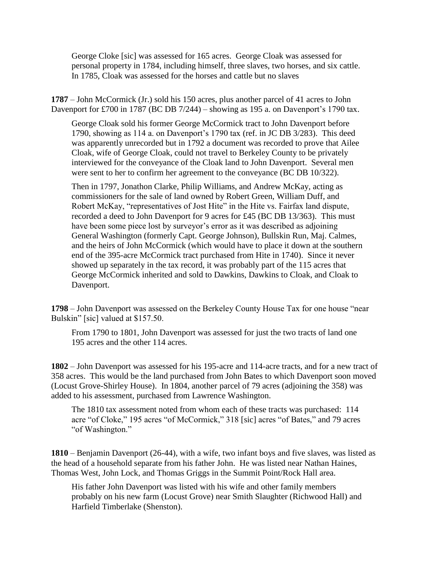George Cloke [sic] was assessed for 165 acres. George Cloak was assessed for personal property in 1784, including himself, three slaves, two horses, and six cattle. In 1785, Cloak was assessed for the horses and cattle but no slaves

**1787** – John McCormick (Jr.) sold his 150 acres, plus another parcel of 41 acres to John Davenport for £700 in 1787 (BC DB 7/244) – showing as 195 a. on Davenport's 1790 tax.

George Cloak sold his former George McCormick tract to John Davenport before 1790, showing as 114 a. on Davenport's 1790 tax (ref. in JC DB 3/283). This deed was apparently unrecorded but in 1792 a document was recorded to prove that Ailee Cloak, wife of George Cloak, could not travel to Berkeley County to be privately interviewed for the conveyance of the Cloak land to John Davenport. Several men were sent to her to confirm her agreement to the conveyance (BC DB 10/322).

Then in 1797, Jonathon Clarke, Philip Williams, and Andrew McKay, acting as commissioners for the sale of land owned by Robert Green, William Duff, and Robert McKay, "representatives of Jost Hite" in the Hite vs. Fairfax land dispute, recorded a deed to John Davenport for 9 acres for £45 (BC DB 13/363). This must have been some piece lost by surveyor's error as it was described as adjoining General Washington (formerly Capt. George Johnson), Bullskin Run, Maj. Calmes, and the heirs of John McCormick (which would have to place it down at the southern end of the 395-acre McCormick tract purchased from Hite in 1740). Since it never showed up separately in the tax record, it was probably part of the 115 acres that George McCormick inherited and sold to Dawkins, Dawkins to Cloak, and Cloak to Davenport.

**1798** – John Davenport was assessed on the Berkeley County House Tax for one house "near Bulskin" [sic] valued at \$157.50.

From 1790 to 1801, John Davenport was assessed for just the two tracts of land one 195 acres and the other 114 acres.

**1802** – John Davenport was assessed for his 195-acre and 114-acre tracts, and for a new tract of 358 acres. This would be the land purchased from John Bates to which Davenport soon moved (Locust Grove-Shirley House). In 1804, another parcel of 79 acres (adjoining the 358) was added to his assessment, purchased from Lawrence Washington.

The 1810 tax assessment noted from whom each of these tracts was purchased: 114 acre "of Cloke," 195 acres "of McCormick," 318 [sic] acres "of Bates," and 79 acres "of Washington."

**1810** – Benjamin Davenport (26-44), with a wife, two infant boys and five slaves, was listed as the head of a household separate from his father John. He was listed near Nathan Haines, Thomas West, John Lock, and Thomas Griggs in the Summit Point/Rock Hall area.

His father John Davenport was listed with his wife and other family members probably on his new farm (Locust Grove) near Smith Slaughter (Richwood Hall) and Harfield Timberlake (Shenston).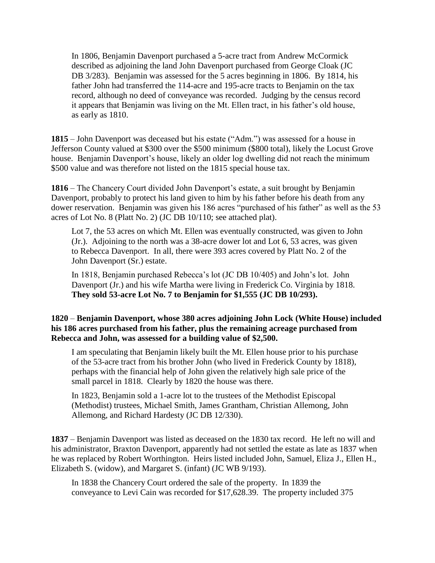In 1806, Benjamin Davenport purchased a 5-acre tract from Andrew McCormick described as adjoining the land John Davenport purchased from George Cloak (JC DB 3/283). Benjamin was assessed for the 5 acres beginning in 1806. By 1814, his father John had transferred the 114-acre and 195-acre tracts to Benjamin on the tax record, although no deed of conveyance was recorded. Judging by the census record it appears that Benjamin was living on the Mt. Ellen tract, in his father's old house, as early as 1810.

**1815** – John Davenport was deceased but his estate ("Adm.") was assessed for a house in Jefferson County valued at \$300 over the \$500 minimum (\$800 total), likely the Locust Grove house. Benjamin Davenport's house, likely an older log dwelling did not reach the minimum \$500 value and was therefore not listed on the 1815 special house tax.

**1816** – The Chancery Court divided John Davenport's estate, a suit brought by Benjamin Davenport, probably to protect his land given to him by his father before his death from any dower reservation. Benjamin was given his 186 acres "purchased of his father" as well as the 53 acres of Lot No. 8 (Platt No. 2) (JC DB 10/110; see attached plat).

Lot 7, the 53 acres on which Mt. Ellen was eventually constructed, was given to John (Jr.). Adjoining to the north was a 38-acre dower lot and Lot 6, 53 acres, was given to Rebecca Davenport. In all, there were 393 acres covered by Platt No. 2 of the John Davenport (Sr.) estate.

In 1818, Benjamin purchased Rebecca's lot (JC DB 10/405) and John's lot. John Davenport (Jr.) and his wife Martha were living in Frederick Co. Virginia by 1818. **They sold 53-acre Lot No. 7 to Benjamin for \$1,555 (JC DB 10/293).**

## **1820** – **Benjamin Davenport, whose 380 acres adjoining John Lock (White House) included his 186 acres purchased from his father, plus the remaining acreage purchased from Rebecca and John, was assessed for a building value of \$2,500.**

I am speculating that Benjamin likely built the Mt. Ellen house prior to his purchase of the 53-acre tract from his brother John (who lived in Frederick County by 1818), perhaps with the financial help of John given the relatively high sale price of the small parcel in 1818. Clearly by 1820 the house was there.

In 1823, Benjamin sold a 1-acre lot to the trustees of the Methodist Episcopal (Methodist) trustees, Michael Smith, James Grantham, Christian Allemong, John Allemong, and Richard Hardesty (JC DB 12/330).

**1837** – Benjamin Davenport was listed as deceased on the 1830 tax record. He left no will and his administrator, Braxton Davenport, apparently had not settled the estate as late as 1837 when he was replaced by Robert Worthington. Heirs listed included John, Samuel, Eliza J., Ellen H., Elizabeth S. (widow), and Margaret S. (infant) (JC WB 9/193).

In 1838 the Chancery Court ordered the sale of the property. In 1839 the conveyance to Levi Cain was recorded for \$17,628.39. The property included 375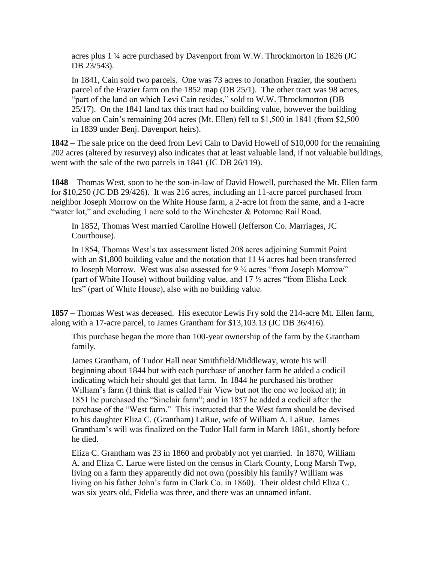acres plus 1 ¼ acre purchased by Davenport from W.W. Throckmorton in 1826 (JC DB 23/543).

In 1841, Cain sold two parcels. One was 73 acres to Jonathon Frazier, the southern parcel of the Frazier farm on the 1852 map (DB 25/1). The other tract was 98 acres, "part of the land on which Levi Cain resides," sold to W.W. Throckmorton (DB 25/17). On the 1841 land tax this tract had no building value, however the building value on Cain's remaining 204 acres (Mt. Ellen) fell to \$1,500 in 1841 (from \$2,500 in 1839 under Benj. Davenport heirs).

**1842** – The sale price on the deed from Levi Cain to David Howell of \$10,000 for the remaining 202 acres (altered by resurvey) also indicates that at least valuable land, if not valuable buildings, went with the sale of the two parcels in 1841 (JC DB 26/119).

**1848** – Thomas West, soon to be the son-in-law of David Howell, purchased the Mt. Ellen farm for \$10,250 (JC DB 29/426). It was 216 acres, including an 11-acre parcel purchased from neighbor Joseph Morrow on the White House farm, a 2-acre lot from the same, and a 1-acre "water lot," and excluding 1 acre sold to the Winchester & Potomac Rail Road.

In 1852, Thomas West married Caroline Howell (Jefferson Co. Marriages, JC Courthouse).

In 1854, Thomas West's tax assessment listed 208 acres adjoining Summit Point with an \$1,800 building value and the notation that 11  $\frac{1}{4}$  acres had been transferred to Joseph Morrow. West was also assessed for 9  $\frac{3}{4}$  acres "from Joseph Morrow" (part of White House) without building value, and 17 ½ acres "from Elisha Lock hrs" (part of White House), also with no building value.

**1857** – Thomas West was deceased. His executor Lewis Fry sold the 214-acre Mt. Ellen farm, along with a 17-acre parcel, to James Grantham for \$13,103.13 (JC DB 36/416).

This purchase began the more than 100-year ownership of the farm by the Grantham family.

James Grantham, of Tudor Hall near Smithfield/Middleway, wrote his will beginning about 1844 but with each purchase of another farm he added a codicil indicating which heir should get that farm. In 1844 he purchased his brother William's farm (I think that is called Fair View but not the one we looked at); in 1851 he purchased the "Sinclair farm"; and in 1857 he added a codicil after the purchase of the "West farm." This instructed that the West farm should be devised to his daughter Eliza C. (Grantham) LaRue, wife of William A. LaRue. James Grantham's will was finalized on the Tudor Hall farm in March 1861, shortly before he died.

Eliza C. Grantham was 23 in 1860 and probably not yet married. In 1870, William A. and Eliza C. Larue were listed on the census in Clark County, Long Marsh Twp, living on a farm they apparently did not own (possibly his family? William was living on his father John's farm in Clark Co. in 1860). Their oldest child Eliza C. was six years old, Fidelia was three, and there was an unnamed infant.